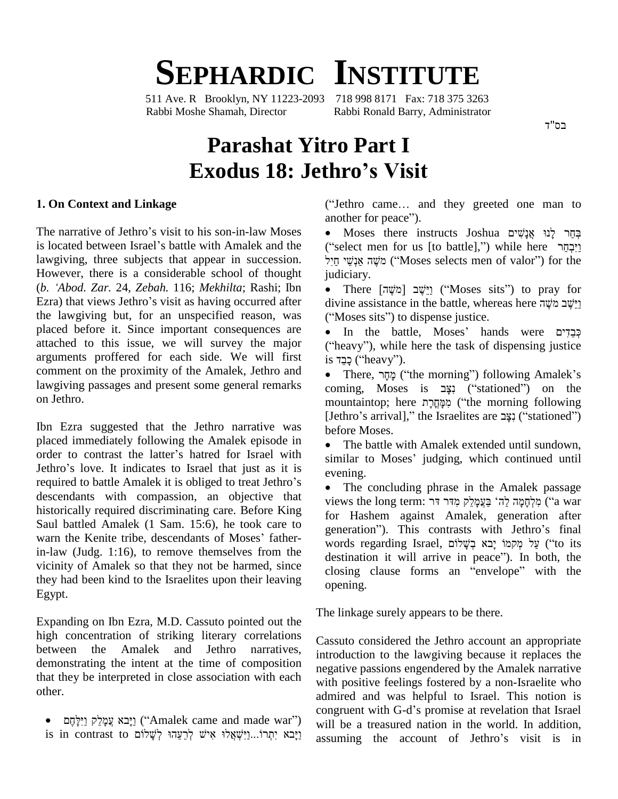# **SEPHARDIC INSTITUTE**

511 Ave. R Brooklyn, NY 11223-2093 718 998 8171 Fax: 718 375 3263 Rabbi Moshe Shamah, Director Rabbi Ronald Barry, Administrator

בס"ד

# **Parashat Yitro Part I Exodus 18: Jethroís Visit**

## **. On Context and Linkage**

another for peace").<br>The narrative of Jethro's visit to his son-in-law Moses • Moses there in is located between Israel's battle with Amalek and the lawgiving, three subjects that appear in succession. However, there is a considerable school of thought fitting, three subjects that appear in succession.<br>
However, there is a considerable school of thought *judio*<br>
(*b. 'Abod. Zar. 24, Zebah. 116; Mekhilta*; Rashi; Ibn However, there is a considerable school of thought<br>(b. 'Abod. Zar. 24, Zebah. 116; Mekhilta; Rashi; Ibn<br>Ezra) that views Jethro's visit as having occurred after the lawgiving but, for an unspecified reason, was ("Moses sits") to dispense justice. placed before it. Since important consequences are attached to this issue, we will survey the major arguments proffered for each side. We will first comment on the proximity of the Amalek, Jethro and lawgiving passages and present some general remarks on Jethro.

Ibn Ezra suggested that the Jethro narrative was<br>
placed immediately following the Amalek episode in<br>
order to contrast the latter's hatred for Israel with<br>
simi placed immediately following the Amalek episode in<br>
order to contrast the latter's hatred for Israel with<br>
Jethro's love. It indicates to Israel that just as it is order to contrast the latter's hatred for Israel with<br>Jethro's love. It indicates to Israel that just as it is<br>required to battle Amalek it is obliged to treat Jethro's<br>The descendants with compassion, an objective that historically required discriminating care. Before King<br>Saul battled Amalek (1 Sam. 15:6), he took care to<br>warn the Kenite tribe, descendants of Moses' father-Saul battled Amalek (1 Sam. 15:6), he took care to generation"). This contrasts with Jethro's final in-law (Judg. 1:16), to remove themselves from the destination it will arrive in peace"). In both, the vicinity of Amalek so that they not be harmed, since closing clause forms an "envelope" with the they had been kind to the Israelites upon their leaving Egypt.

Expanding on Ibn Ezra, M.D. Cassuto pointed out the high concentration of striking literary correlations between the Amalek and Jethro narratives, demonstrating the intent at the time of composition that they be interpreted in close association with each other.

• יַיֵּבא עֲמַלֵק וַיִּלְחֵם (Amalek came and made war")

 $\textbf{L} \textbf{P} \textbf{O}^{\prime} \textbf{S} \textbf{V} \textbf{I} \textbf{S} \textbf{I} \textbf{I}$ <br>("Jethro came... and they greeted one man to ("Jethro came... and<br>another for peace"). thro came... and they greeted one man to<br>ther for peace").<br>בְּחֵר לְנוּ אֲנָשִׁים Joshua בְּחֵר לְנוּ אֲנָשִׁים

("select men for us [to battle],") while here יְבְחֲר  $^{\bullet}$ תְּחֵר לְנוּ אֲנָשִׁים Iect men for us [to battle],") while here<br>יוֵיִבְחֵר lect men for us [to battle],") while here<br>יוֹשֶה אֲנְשֵׁי ("Moses selects men of valor") for the מֹשֶׁה אַנְשֵׁי חַיִל ("Moses selects men of valor") for the judiciary. מֹשֶׁה אֲנְשֵׁי (''Moses selects men of valor'') for the<br>ciary.<br>There [מֹשֶׁה] יַיֵּשֶׁב (''Moses sits'') to pray for

judiciary.<br>• Ihere [מֹשֶׁה] יֵיֵּשֶׁב ("Moses sits") to pray for<br>divine assistance in the battle, whereas here יֵיֵּשֶׁב מֹשֶׁה • There  $\begin{bmatrix} \text{minim} \\ \text{minim} \end{bmatrix}$  ("Moses sits") divine assistance in the battle, whereas<br>("Moses sits") to dispense justice. divine assistance in the battle, whereas here וישֵׁב מֹשֶׁה

("Moses sits") to dispense justice.<br>• In the battle, Moses' hands were כְּבֵדִים<br>("heavy"), while here the task of dispensing justice • In the battle,<br>("heavy"), while here<br>is יָבֵד ("heavy"). eavy"), while here the task of dispensing justice<br>כָּבָר ("heavy").<br>There, מָקָר ("the morning") following Amalek's

is בְּבֵד (''heavy'').<br>• There, בְּתָּר (''the morning'') following Amalek's<br>coming, Moses is נָצָב (''stationed'') on the שְׁתָּר There, מְהֶר ("the morning") following Amalek's<br>coming, Moses is נָצֶב ("stationed") on the<br>mountaintop; here מִמְּחֲרָת ("the morning following coming, Moses is נָצָב ("stationed") on the<br>mountaintop; here מְקֶחֲרָת ("the morning following<br>[Jethro's arrival]," the Israelites are נִצָּב ("stationed") [Jethro's arrival]," the Israelites are נִצָּב ("stationed") hefore Moses.

 The battle with Amalek extended until sundown, before Moses.<br>• The battle with Amalek extended until sundown,<br>similar to Moses' judging, which continued until similar to M<br>evening.

 The concluding phrase in the Amalek passage evening.<br>● The concluding phrase in the Amalek passage<br>views the long term: מַלְחָמָה לֵה בְּי בַּעֲמָלֵק (ia war for Hashem against Amalek, generation after יקְלְחָמָה לַה<sup>ּ</sup> בַּעֲמָלֵקְ מִדּר דּר ("a war for Hashem against Amalek, generation after<br>generation"). This contrasts with Jethro's final for Hashem against Amalek, generation after<br>generation"). This contrasts with Jethro's final<br>words regarding Israel, בְּשֶׁלוֹם יָבָא בְּעָלוֹם ('to its generation"). This contrasts with Jethro's final<br>words regarding Israel, בְּשָׁלוֹם ("to its destination it will arrive in peace"). In both, the words regarding Israel, עֵל מְקְמוֹ יָבא בְשָׁלוֹם ('to its destination it will arrive in peace''). In both, the<br>closing clause forms an ''envelope'' with the opening.

The linkage surely appears to be there.

is in contrast to יִיָּבֹא יִתְרוֹ...וַיִּשְׁאֲלוּ אִישׁ לְרֵעֵהוּ לְשָׁלוֹם is in contrast to יִצְבֹא יִתְרוֹ Cassuto considered the Jethro account an appropriate introduction to the lawgiving because it replaces the negative passions engendered by the Amalek narrative with positive feelings fostered by a non-Israelite who admired and was helpful to Israel. This notion is congruent with G-d's promise at revelation that Israel admired and was helpful to Israel. This notion is will be a treasured nation in the world. In addition, congruent with G-d's promise at revelation that Israel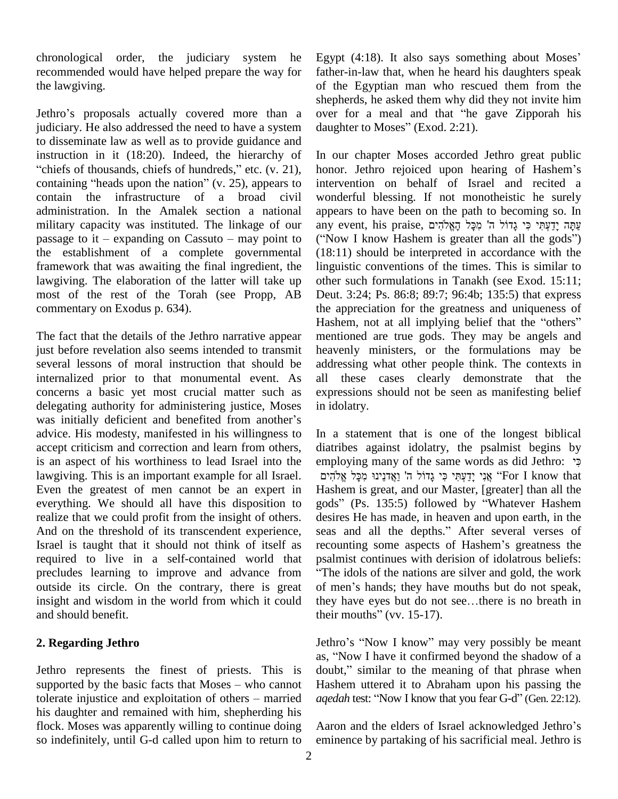chronological order, the judiciary system he recommended would have helped prepare the way for the lawgiving.

Jethro's proposals actually covered more than a over for a meal and that "he gave Zipporah his judiciary. He also addressed the need to have a system to disseminate law as well as to provide guidance and to disseminate law as well as to provide guidance and<br>instruction in it (18:20). Indeed, the hierarchy of In<br>"chiefs of thousands, chiefs of hundreds," etc. (v. 21), hor instruction in it (18:20). Indeed, the hierarchy of In our<br>"chiefs of thousands, chiefs of hundreds," etc.  $(v. 21)$ , honor.<br>containing "heads upon the nation"  $(v. 25)$ , appears to interve contain the infrastructure of a broad civil administration. In the Amalek section a national military capacity was instituted. The linkage of our any event, his praise, מַקֲל הָאֱלֹהִים מִכֵּל הָאֱלֹהִים passage to it – expanding on Cassuto – may point to ("Now I know Hashem is greater than all the gods") the establishment of a complete governmental framework that was awaiting the final ingredient, the lawgiving. The elaboration of the latter will take up most of the rest of the Torah (see Propp, AB commentary on Exodus p.634).

The fact that the details of the Jethro narrative appear just before revelation also seems intended to transmit several lessons of moral instruction that should be internalized prior to that monumental event. As concerns a basic yet most crucial matter such as exprediently authority for administering justice, Moses in id<br>was initially deficient and benefited from another's delegating authority for administering justice, Moses advice. His modesty, manifested in his willingness to accept criticism and correction and learn from others, is an aspect of his worthiness to lead Israel into the lawgiving. This is an important example for all Israel. אֲנִי יַדַעְתִּי כִּי גֲדוֹל ה' וַאֱדְנֵינוּ מִכָּל אֱלֹהִים Even the greatest of men cannot be an expert in everything. We should all have this disposition to realize that we could profit from the insight of others. And on the threshold of its transcendent experience, Israel is taught that it should not think of itself as required to live in a self-contained world that precludes learning to improve and advance from outside its circle. On the contrary, there is great of men's hands; they have mouths but do not speak, insight and wisdom in the world from which it could and should benefit.

## **2. Regarding Jethro**

Jethro represents the finest of priests. This is as<br>Jethro represents the finest of priests. This is do<br>supported by the basic facts that Moses – who cannot Ha Jethro represents the finest of priests. This is doubt, supported by the basic facts that Moses – who cannot Hashe tolerate injustice and exploitation of others – married *aqedai* his daughter and remained with him, shepherding his flock. Moses was apparently willing to continue doing Aaron and the elders of Israel acknowledged Jethro's so indefinitely, until G-d called upon him to return to

Egypt  $(4:18)$ . It also says something about Moses' father-in-law that, when he heard his daughters speak of the Egyptian man who rescued them from the shepherds, he asked them why did they not invite him over for a meal and that "he gave Zipporah his shepherds, he asked them why did they not invite him daughter to Moses" (Exod. 2:21).

In our chapter Moses accorded Jethro great public In our chapter Moses accorded Jethro great public<br>honor. Jethro rejoiced upon hearing of Hashem's intervention on behalf of Israel and recited a wonderful blessing. If not monotheistic he surely ʤappears to have been on the path to becoming so. In wonderful blessing. If not monotheistic he surely<br>appears to have been on the path to becoming so. In<br>עַתָּה יָדַעְתִּי כִּי גָדוֹל ה' מִכְּל הָאֱלֹהִים appears to have been on the path to becoming so. In<br>any event, his praise, מֱאֱלֹהִים מְכָּל הָאֱלֹהִים<br>(''Now I know Hashem is greater than all the gods'') (18:11) should be interpreted in accordance with the linguistic conventions of the times. This is similar to other such formulations in Tanakh (see Exod. 15:11; Deut. 3:24; Ps. 86:8; 89:7; 96:4b; 135:5) that express<br>the appreciation for the greatness and uniqueness of<br>Hashem, not at all implying belief that the "others" the appreciation for the greatness and uniqueness of mentioned are true gods. They may be angels and heavenly ministers, or the formulations may be addressing what other people think. The contexts in all these cases clearly demonstrate that the expressions should not be seen as manifesting belief in idolatry.

In a statement that is one of the longest biblical diatribes against idolatry, the psalmist begins by In a statement that is one of the longest biblical<br>diatribes against idolatry, the psalmist begins by<br>employing many of the same words as did Jethro: יָ es against idolatry, the psalmist begins by<br>hig many of the same words as did Jethro: פִּי<br>אֲנִי יָדָעְתִּי כִּי גָדוֹל ה' וַאֲדִנֵינוּ מִכָּל Hashem is great, and our Master, [greater] than all the אֲנִי יָדַעְתִּי כִּי גָדוֹל ה' וַאֲדנֵינוּ מִכָּל אֱלֹהִים ''For I know that<br>Hashem is great, and our Master, [greater] than all the<br>gods'' (Ps. 135:5) followed by ''Whatever Hashem desires He has made, in heaven and upon earth, in the gods" (Ps. 135:5) followed by "Whatever Hashem<br>desires He has made, in heaven and upon earth, in the<br>seas and all the depths." After several verses of seas and all the depths." After several verses of recounting some aspects of Hashem's greatness the psalmist continues with derision of idolatrous beliefs: The idols of the nations are silver and gold, the work of men's hands; they have mouths but do not speak, they have eyes but do not see...there is no breath in psalmist continues with derision of idolatrous beliefs:<br>"The idols of the nations are silver and gold, the work<br>of men's hands; they have mouths but do not speak, they have eyes but do not see...there is no breath in their mouths" (vv. 15-17). their mouths" (vv. 15-17).<br>Jethro's "Now I know" may very possibly be meant

Jethro's "Now I know" may very possibly be meant<br>as, "Now I have it confirmed beyond the shadow of a Jethro's "Now I know" may very possibly be meant<br>as, "Now I have it confirmed beyond the shadow of a<br>doubt," similar to the meaning of that phrase when Hashem uttered it to Abraham upon his passing the doubt," similar to the meaning of that phrase when aqedah test: "Now I know that you fear G-d" (Gen. 22:12).

eminence by partaking of his sacrificial meal. Jethro is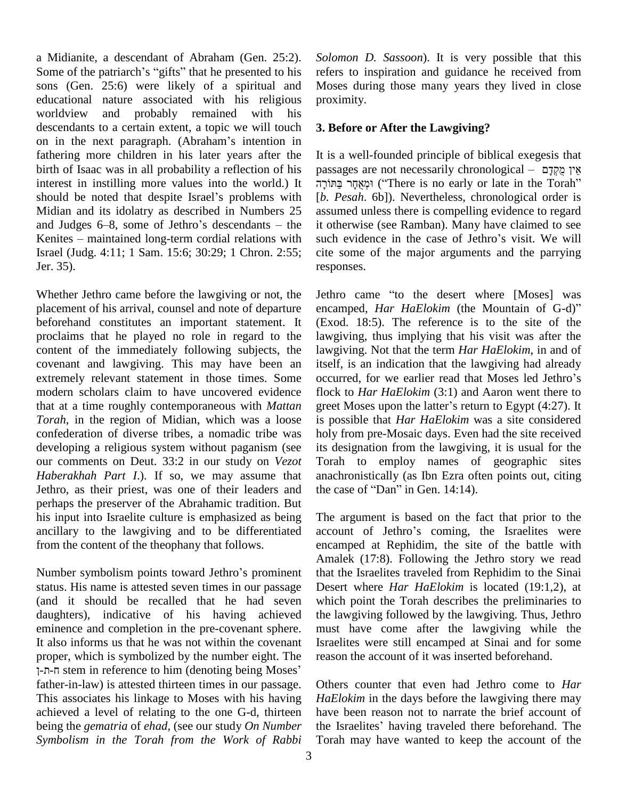a Midianite, a descendant of Abraham (Gen. 25:2). Some of the patriarch's "gifts" that he presented to his sons (Gen. 25:6) were likely of a spiritual and educational nature associated with his religious worldview and probably remained with his descendants to a certain extent, a topic we will touch 3. Bef worldview and probably remained with his<br>descendants to a certain extent, a topic we will touch 3. Bef<br>on in the next paragraph. (Abraham's intention in fathering more children in his later years after the birth of Isaac was in all probability a reflection of his interest in instilling more values into the world.) It birth of Isaac was in all probability a reflection of his passage interest in instilling more values into the world.) It  $\overline{p}$   $\overline{p}$  and that despite Israel's problems with [*b. Pe* Midian and its idolatry as described in Numbers 25 should be noted that despite Israel's problems with  $\begin{bmatrix} b. & P \end{bmatrix}$ <br>Midian and its idolatry as described in Numbers 25 assure<br>and Judges 6–8, some of Jethro's descendants – the it oth Midian and its idolatry as described in Numbers 25 assum<br>and Judges 6–8, some of Jethro's descendants – the it othe<br>Kenites – maintained long-term cordial relations with such  $\epsilon$ Israel (Judg. 4:11; 1 Sam. 15:6; 30:29; 1 Chron. 2:55; Jer. 35).

Whether Jethro came before the lawgiving or not, the placement of his arrival, counsel and note of departure encamped, *Har HaElokim* (the Mountain of G-d)" beforehand constitutes an important statement. It proclaims that he played no role in regard to the content of the immediately following subjects, the covenant and lawgiving. This may have been an extremely relevant statement in those times. Some modern scholars claim to have uncovered evidence that at a time roughly contemporaneous with *Mattan Torah*, in the region of Midian, which was a loose confederation of diverse tribes, a nomadic tribe was developing a religious system without paganism (see our comments on Deut. 33:2 in our study on *Vezot Haberakhah Part I.*). If so, we may assume that anachronistically (as Ibn Ezra oft Jethro, as their priest, was one of their leaders and the case of "Dan" in Gen. 14:14). Jethro, as their priest, was one of their leaders and perhaps the preserver of the Abrahamic tradition. But his input into Israelite culture is emphasized as being ancillary to the lawgiving and to be differentiated from the content of the theophany that follows.

Number symbolism points toward Jethro's prominent status. His name is attested seven times in our passage (and it should be recalled that he had seven daughters), indicative of his having achieved eminence and completion in the pre-covenant sphere. It also informs us that he was not within the covenant Is proper, which is symbolized by the number eight. The b informs us that he was not within the covenant<br>r, which is symbolized by the number eight. The<br>stem in reference to him (denoting being Moses' father-in-law) is attested thirteen times in our passage. This associates his linkage to Moses with his having achieved a level of relating to the one G-d, thirteen being the *gematria* of *ehad*, (see our study *On Number Symbolism in the Torah from the Work of Rabbi*

*Solomon D. Sassoon*). It is very possible that this refers to inspiration and guidance he received from Moses during those many years they lived in close proximity.

## **3. Before or After the Lawgiving?**

It is a well-founded principle of biblical exegesis that Frequency is a well-founded principle of biblical exegesis that<br>he אֵין מֻקְדָם — httpssages are not necessarily chronological וּמְאָחָר בַּתּוֹרָה ("There is no early or late in the Torah" [*b. Pesah*. 6b]). Nevertheless, chronological order is assumed unless there is compelling evidence to regard<br>it otherwise (see Ramban). Many have claimed to see<br>such evidence in the case of Jethro's visit. We will it otherwise (see Ramban). Many have claimed to see cite some of the major arguments and the parrying responses. responses.<br>Jethro came "to the desert where [Moses] was

Jethro came "to the desert where [Moses] was<br>encamped, *Har HaElokim* (the Mountain of G-d)" (Exod. 18:5). The reference is to the site of the lawgiving, thus implying that his visit was after the lawgiving. Not that the term *Har HaElokim*, in and of itself, is an indication that the lawgiving had already lawgiving. Not that the term *Har HaElokim*, in and of itself, is an indication that the lawgiving had already occurred, for we earlier read that Moses led Jethro's flock to *Har HaElokim* (3:1) and Aaron went there to occurred, for we earlier read that Moses led Jethro's is possible that *Har HaElokim* was a site considered holy from pre-Mosaic days. Even had the site received its designation from the lawgiving, it is usual for the Torah to employ names of geographic sites<br>anachronistically (as Ibn Ezra often points out, citing<br>the case of "Dan" in Gen. 14:14). anachronistically (as Ibn Ezra often points out, citing

The argument is based on the fact that prior to the account of Jethro's coming, the Israelites were encamped at Rephidim, the site of the battle with Amalek (17:8). Following the Jethro story we read that the Israelites traveled from Rephidim to the Sinai Desert where *Har HaElokim* is located (19:1,2), at which point the Torah describes the preliminaries to the lawgiving followed by the lawgiving. Thus, Jethro must have come after the lawgiving while the Israelites were still encamped at Sinai and for some reason the account of it was inserted beforehand.

Others counter that even had Jethro come to *Har HaElokim* in the days before the lawgiving there may have been reason not to narrate the brief account of the Israelites' having traveled there beforehand. The have been reason not to narrate the brief account of Torah may have wanted to keep the account of the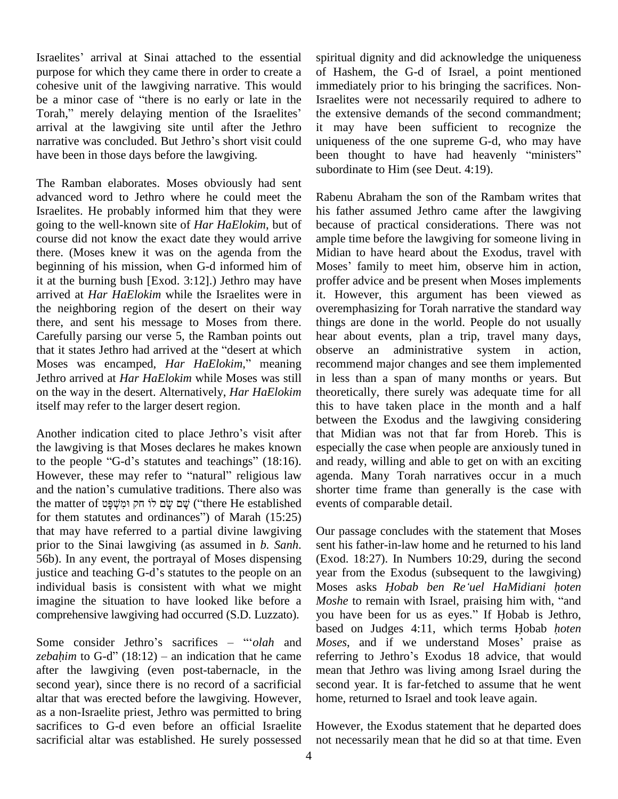Israelites' arrival at Sinai attached to the essential purpose for which they came there in order to create a cohesive unit of the lawgiving narrative. This would purpose for which they came there in order to create a of H<br>cohesive unit of the lawgiving narrative. This would immed<br>be a minor case of "there is no early or late in the Israel cohesive unit of the lawgiving narrative. This would<br>be a minor case of "there is no early or late in the Isra<br>Torah," merely delaying mention of the Israelites' the arrival at the lawgiving site until after the Jethro Torah," merely delaying mention of the Israelites' the exarrival at the lawgiving site until after the Jethro it manarrative was concluded. But Jethro's short visit could unique have been in those days before the lawgiving.

The Ramban elaborates. Moses obviously had sent advanced word to Jethro where he could meet the Israelites. He probably informed him that they were going to the well-known site of *Har HaElokim*, but of course did not know the exact date they would arrive there. (Moses knew it was on the agenda from the beginning of his mission, when G-d informed him of it at the burning bush [Exod. 3:12].) Jethro may have arrived at *Har HaElokim* while the Israelites were in the neighboring region of the desert on their way there, and sent his message to Moses from there. Carefully parsing our verse 5, the Ramban points out there, and sent his message to Moses from there. things<br>Carefully parsing our verse 5, the Ramban points out hear at that it states Jethro had arrived at the "desert at which observ Carefully parsing our verse 5, the Ramban points out hear at that it states Jethro had arrived at the "desert at which observed Moses was encamped, *Har HaElokim*," meaning recom Jethro arrived at *Har HaElokim* while Moses was still on the way in the desert. Alternatively, *Har HaElokim* itself may refer to the larger desert region.

Another indication cited to place Jethro's visit after the lawgiving is that Moses declares he makes known Another indication cited to place Jethro's visit after the law giving is that Moses declares he makes known est to the people "G-d's statutes and teachings" (18:16). the lawgiving is that Moses declares he makes known especially<br>to the people "G-d's statutes and teachings" (18:16). and ready,<br>However, these may refer to "natural" religious law agenda. N to the people "G-d's statutes and teachings" (18:16).<br>However, these may refer to "natural" religious law<br>and the nation's cumulative traditions. There also was However, these may refer to "natural" religious law<br>and the nation's cumulative traditions. There also was<br>the matter of שׂם לוֹ חַק וּמשׁפּט ("there He established") שׁם שׂם לוֹ for them statutes and ordinances" of Marah  $(15:25)$ that may have referred to a partial divine lawgiving prior to the Sinai lawgiving (as assumed in *b. Sanh*. 56b). In any event, the portrayal of Moses dispensing justice and teaching G-d's statutes to the people on an individual basis is consistent with what we might imagine the situation to have looked like before a *Moshe* to remain with Israel, praising him with, "and comprehensive lawgiving had occurred (S.D. Luzzato). you h<br>Some consider Jethro's sacrifices – "'olah and Moses

Some consider Jethro's sacrifices – "*olah* and *Moses*, and if we understand Moses' praise as *zebahim* to G-d" (18:12) – an indication that he came referring to Jethro's Exodus 18 advice, that would after the lawgiving (even post-tabernacle, in the second year), since there is no record of a sacrificial altar that was erected before the lawgiving. However, as a non-Israelite priest, Jethro was permitted to bring sacrifices to G-d even before an official Israelite sacrificial altar was established. He surely possessed

spiritual dignity and did acknowledge the uniqueness of Hashem, the G-d of Israel, a point mentioned immediately prior to his bringing the sacrifices. Non-Israelites were not necessarily required to adhere to the extensive demands of the second commandment; it may have been sufficient to recognize the uniqueness of the one supreme G-d, who may have been thought to have had heavenly "ministers" uniqueness of the one supreme G-d, who may have subordinate to Him (see Deut. 4:19).

Rabenu Abraham the son of the Rambam writes that his father assumed Jethro came after the lawgiving because of practical considerations. There was not ample time before the lawgiving for someone living in Midian to have heard about the Exodus, travel with Moses' family to meet him, observe him in action. proffer advice and be present when Moses implements it. However, this argument has been viewed as overemphasizing for Torah narrative the standard way things are done in the world. People do not usually hear about events, plan a trip, travel many days, observe an administrative system in action, recommend major changes and see them implemented in less than a span of many months or years. But theoretically, there surely was adequate time for all this to have taken place in the month and a half between the Exodus and the lawgiving considering that Midian was not that far from Horeb. This is especially the case when people are anxiously tuned in and ready, willing and able to get on with an exciting agenda. Many Torah narratives occur in a much shorter time frame than generally is the case with events of comparable detail.

Our passage concludes with the statement that Moses sent his father-in-law home and he returned to his land (Exod. 18:27). In Numbers 10:29, during the second year from the Exodus (subsequent to the lawgiving) (Exod. 18:27). In Numbers 10:29, during the second<br>year from the Exodus (subsequent to the lawgiving)<br>Moses asks *Hobab ben Re'uel HaMidiani hoten* year from the Exodus (subsequent to the lawgiving)<br>Moses asks *Hobab ben Re'uel HaMidiani hoten*<br>*Moshe* to remain with Israel, praising him with, "and Moses asks *Hobab ben Re'uel HaMidiani hoten Moshe* to remain with Israel, praising him with, "and you have been for us as eyes." If Hobab is Jethro, based on Judges 4:11, which terms <sup>H</sup>obab *<sup>h</sup>oten* you have been for us as eyes." If Hobab is Jethro,<br>based on Judges 4:11, which terms Hobab *hoten*<br>*Moses*, and if we understand Moses' praise as based on Judges 4:11, which terms Hobab *hoten*<br>Moses, and if we understand Moses' praise as<br>referring to Jethro's Exodus 18 advice, that would mean that Jethro was living among Israel during the second year. It is far-fetched to assume that he went home, returned to Israel and took leave again.

However, the Exodus statement that he departed does not necessarily mean that he did so at that time. Even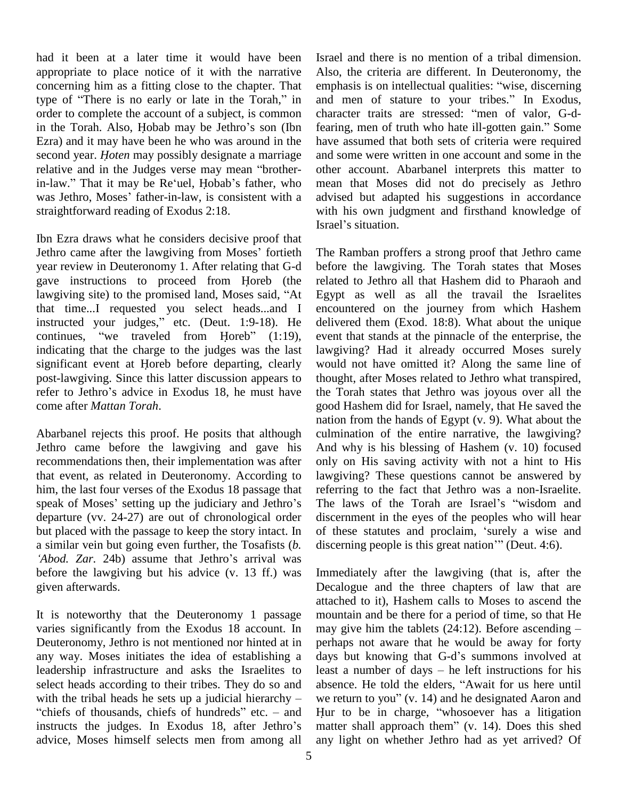had it been at a later time it would have been appropriate to place notice of it with the narrative concerning him as a fitting close to the chapter. That appropriate to place notice of it with the narrative Also,<br>concerning him as a fitting close to the chapter. That empha<br>type of "There is no early or late in the Torah," in and r order to complete the account of a subject, is common character traits are stressed: "men of valor, G-dtype of "There is no early or late in the Torah," in and r<br>order to complete the account of a subject, is common charace<br>in the Torah. Also, Hobab may be Jethro's son (Ibn fearing Ezra) and it may have been he who was around in the have second year. *Hoten* may possibly designate a marriage and s relative and in the Judges verse may mean "brother-other in the Torah. Also, Hobab may be Jethro's son (Ibn fearing, men of truth who hate ill-gotten gain." Some second year. *Hoten* may possibly designate a marriage relative and in the Judges verse may mean "brother-<br>in-law." That it may be Re'uel, Hobab's father, who relative and in the Judges verse may mean "brother-<br>in-law." That it may be Re'uel, Hobab's father, who<br>was Jethro, Moses' father-in-law, is consistent with a straightforward reading of Exodus 2:18.

Ibn Ezra draws what he considers decisive proof that Israel'<br>Jethro came after the lawgiving from Moses' fortieth The R<br>Jethro came after the lawgiving from Moses' fortieth The R year review in Deuteronomy 1. After relating that G-d Jethro came after the lawgiving from Moses' fortieth The 1<br>year review in Deuteronomy 1. After relating that G-d befor<br>gave instructions to proceed from Horeb (the relate year review in Deuteronomy 1. After relating that G-d be<br>gave instructions to proceed from Horeb (the relaw<br>giving site) to the promised land, Moses said, "At Eg that time...I requested you select heads...and I Iawgiving site) to the promised land, Moses said, "At Egyp that time...I requested your select heads...and I encountinstructed your judges," etc. (Deut. 1:9-18). He delive that time...I requested you select heads...and I entirected your judges," etc. (Deut. 1:9-18). He decontinues, "we traveled from Horeb" (1:19), ev indicating that the charge to the judges was the last continues, "we traveled from Horeb"  $(1:19)$ , indicating that the charge to the judges was the last significant event at Horeb before departing, clearly post-lawgiving. Since this latter discussion appears to significant event at Horeb before departing, clearly would<br>post-lawgiving. Since this latter discussion appears to thoug<br>refer to Jethro's advice in Exodus 18, he must have the T come after *Mattan Torah*.

Abarbanel rejects this proof. He posits that although Jethro came before the lawgiving and gave his recommendations then, their implementation was after that event, as related in Deuteronomy. According to lawgive him, the last four verses of the Exodus 18 passage that referring speak of Moses' setting up the judiciary and Jethro's The 1 him, the last four verses of the Exodus 18 passage that departure (vv. 24-27) are out of chronological order but placed with the passage to keep the story intact. In of the a similar vein but going even further, the Tosafists (*b.* discer '*Abod.* Zar. 24b) assume that Jethro's arrival was before the lawgiving but his advice (v. 13 ff.) was given afterwards.

It is noteworthy that the Deuteronomy 1 passage varies significantly from the Exodus 18 account. In Deuteronomy, Jethro is not mentioned nor hinted at in any way. Moses initiates the idea of establishing a leadership infrastructure and asks the Israelites to least a number of days – he left instructions for his select heads according to their tribes. They do so and absend leadership infrastructure and asks the Israelites to least a select heads according to their tribes. They do so and absend with the tribal heads he sets up a judicial hierarchy – we ret elect heads according to their tribes. They do so and absent<br>vith the tribal heads he sets up a judicial hierarchy – we ret<br>chiefs of thousands, chiefs of hundreds" etc. – and Hur t with the tribal heads he sets up a judicial hierarchy – we r<br>
"chiefs of thousands, chiefs of hundreds" etc. – and Hur<br>
instructs the judges. In Exodus 18, after Jethro's matt advice, Moses himself selects men from among all

Israel and there is no mention of a tribal dimension. Also, the criteria are different. In Deuteronomy, the emphasis is on intellectual qualities: "wise, discerning Also, the criteria are different. In Deuteronomy, the emphasis is on intellectual qualities: "wise, discerning and men of stature to your tribes." In Exodus, emphasis is on intellectual qualities: "wise, discerning<br>and men of stature to your tribes." In Exodus,<br>character traits are stressed: "men of valor, G-dand men of stature to your tribes." In Exodus,<br>character traits are stressed: "men of valor, G-d-<br>fearing, men of truth who hate ill-gotten gain." Some have assumed that both sets of criteria were required and some were written in one account and some in the other account. Abarbanel interprets this matter to mean that Moses did not do precisely as Jethro advised but adapted his suggestions in accordance with his own judgment and firsthand knowledge of advised but adapted<br>with his own judgme<br>Israel's situation.

The Ramban proffers a strong proof that Jethro came before the lawgiving. The Torah states that Moses related to Jethro all that Hashem did to Pharaoh and Egypt as well as all the travail the Israelites encountered on the journey from which Hashem delivered them (Exod. 18:8). What about the unique event that stands at the pinnacle of the enterprise, the lawgiving? Had it already occurred Moses surely would not have omitted it? Along the same line of thought, after Moses related to Jethro what transpired, the Torah states that Jethro was joyous over all the good Hashem did for Israel, namely, that He saved the nation from the hands of Egypt (v. 9). What about the culmination of the entire narrative, the lawgiving? And why is his blessing of Hashem  $(v. 10)$  focused only on His saving activity with not a hint to His lawgiving? These questions cannot be answered by referring to the fact that Jethro was a non-Israelite. lawgiving? These questions cannot be answered by<br>referring to the fact that Jethro was a non-Israelite.<br>The laws of the Torah are Israel's "wisdom and discernment in the eyes of the peoples who will hear<br>of these statutes and proclaim, 'surely a wise and<br>discerning people is this great nation''' (Deut. 4:6). The laws of the Torah are Israel's "wisdom and<br>discernment in the eyes of the peoples who will hear<br>of these statutes and proclaim, "surely a wise and

Immediately after the lawgiving (that is, after the Decalogue and the three chapters of law that are attached to it), Hashem calls to Moses to ascend the mountain and be there for a period of time, so that He may give him the tablets  $(24:12)$ . Before ascending  $$ perhaps not aware that he would be away for forty may give him the tablets  $(24:12)$ . Before ascending –<br>perhaps not aware that he would be away for forty<br>days but knowing that G-d's summons involved at perhaps not aware that he would be away for forty<br>days but knowing that G-d's summons involved at<br>least a number of days – he left instructions for his days but knowing that G-d's summons involved at least a number of days – he left instructions for his absence. He told the elders, "Await for us here until we return to you" (v. 14) and he designated Aaron and absence. He told the elders, "Await for us here until<br>we return to you" (v. 14) and he designated Aaron and<br>Hur to be in charge, "whosoever has a litigation we return to you"  $(v. 14)$  and he designated Aaron and<br>Hur to be in charge, "whosoever has a litigation<br>matter shall approach them"  $(v. 14)$ . Does this shed any light on whether Jethro had as yet arrived? Of